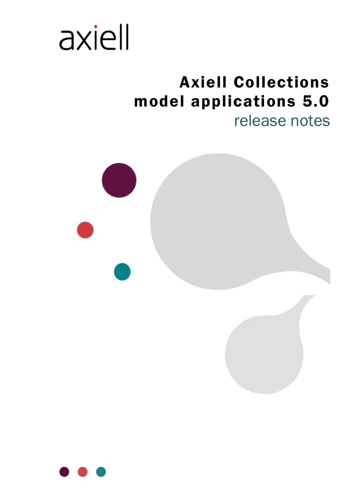

# Axiell Collections model applications 5.0

release notes



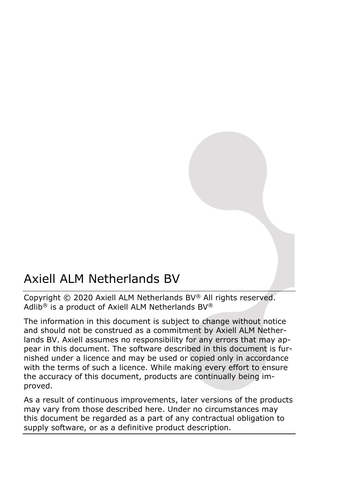# Axiell ALM Netherlands BV

Copyright © 2020 Axiell ALM Netherlands BV® All rights reserved. Adlib® is a product of Axiell ALM Netherlands BV®

The information in this document is subject to change without notice and should not be construed as a commitment by Axiell ALM Netherlands BV. Axiell assumes no responsibility for any errors that may appear in this document. The software described in this document is furnished under a licence and may be used or copied only in accordance with the terms of such a licence. While making every effort to ensure the accuracy of this document, products are continually being improved.

As a result of continuous improvements, later versions of the products may vary from those described here. Under no circumstances may this document be regarded as a part of any contractual obligation to supply software, or as a definitive product description.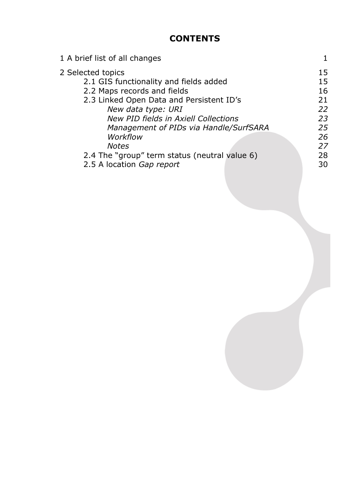## **CONTENTS**

| 1 A brief list of all changes                 |    |
|-----------------------------------------------|----|
| 2 Selected topics                             | 15 |
| 2.1 GIS functionality and fields added        | 15 |
| 2.2 Maps records and fields                   | 16 |
| 2.3 Linked Open Data and Persistent ID's      | 21 |
| New data type: URI                            | 22 |
| New PID fields in Axiell Collections          | 23 |
| Management of PIDs via Handle/SurfSARA        | 25 |
| Workflow                                      | 26 |
| <b>Notes</b>                                  | 27 |
| 2.4 The "group" term status (neutral value 6) | 28 |
| 2.5 A location Gap report                     | 30 |
|                                               |    |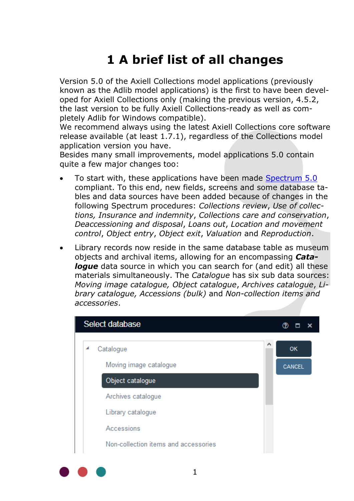# **1 A brief list of all changes**

Version 5.0 of the Axiell Collections model applications (previously known as the Adlib model applications) is the first to have been developed for Axiell Collections only (making the previous version, 4.5.2, the last version to be fully Axiell Collections-ready as well as completely Adlib for Windows compatible).

We recommend always using the latest Axiell Collections core software release available (at least 1.7.1), regardless of the Collections model application version you have.

Besides many small improvements, model applications 5.0 contain quite a few major changes too:

- To start with, these applications have been made [Spectrum 5.0](https://collectionstrust.org.uk/spectrum/spectrum-5/) compliant. To this end, new fields, screens and some database tables and data sources have been added because of changes in the following Spectrum procedures: *Collections review*, *Use of collections, Insurance and indemnity*, *Collections care and conservation*, *Deaccessioning and disposal*, *Loans out*, *Location and movement control*, *Object entry*, *Object exit*, *Valuation* and *Reproduction*.
- Library records now reside in the same database table as museum objects and archival items, allowing for an encompassing *Cata***loque** data source in which you can search for (and edit) all these materials simultaneously. The *Catalogue* has six sub data sources: *Moving image catalogue, Object catalogue*, *Archives catalogue*, *Library catalogue, Accessions (bulk)* and *Non-collection items and accessories*.

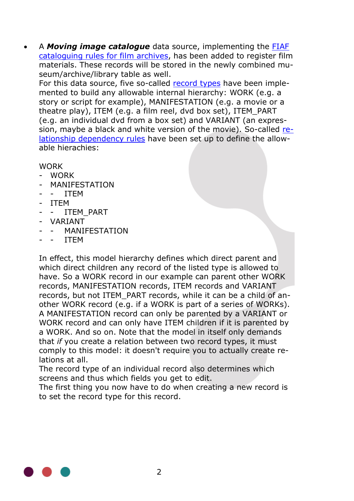• A *Moving image catalogue* data source, implementing the [FIAF](https://www.fiafnet.org/pages/E-Resources/Cataloguing-Manual.html)  [cataloguing rules for film archives,](https://www.fiafnet.org/pages/E-Resources/Cataloguing-Manual.html) has been added to register film materials. These records will be stored in the newly combined museum/archive/library table as well.

For this data source, five so-called [record](http://documentation.axiell.com/ALM/EN/ds_dbdatabasespropertiesadvanced.html#recordtype) types have been implemented to build any allowable internal hierarchy: WORK (e.g. a story or script for example), MANIFESTATION (e.g. a movie or a theatre play), ITEM (e.g. a film reel, dvd box set), ITEM\_PART (e.g. an individual dvd from a box set) and VARIANT (an expression, maybe a black and white version of the movie). So-called [re](http://documentation.axiell.com/ALM/EN/ds_dbinternallinksproperties.html#businessrules)[lationship dependency rules](http://documentation.axiell.com/ALM/EN/ds_dbinternallinksproperties.html#businessrules) have been set up to define the allowable hierachies:

**WORK** 

- WORK
- **MANIFESTATION**
- - ITEM
- ITEM
- - ITEM\_PART
- VARIANT
- MANIFFSTATION
- **ITEM**

In effect, this model hierarchy defines which direct parent and which direct children any record of the listed type is allowed to have. So a WORK record in our example can parent other WORK records, MANIFESTATION records, ITEM records and VARIANT records, but not ITEM\_PART records, while it can be a child of another WORK record (e.g. if a WORK is part of a series of WORKs). A MANIFESTATION record can only be parented by a VARIANT or WORK record and can only have ITEM children if it is parented by a WORK. And so on. Note that the model in itself only demands that *if* you create a relation between two record types, it must comply to this model: it doesn't require you to actually create relations at all.

The record type of an individual record also determines which screens and thus which fields you get to edit.

The first thing you now have to do when creating a new record is to set the record type for this record.

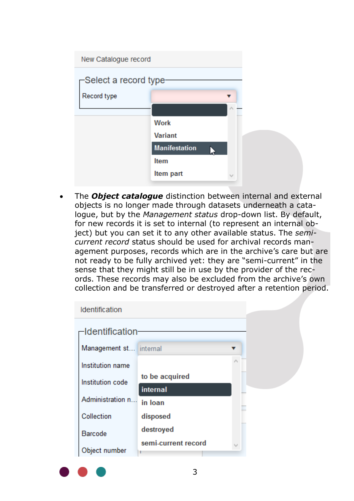| New Catalogue record   |                      |   |
|------------------------|----------------------|---|
| -Select a record type- |                      |   |
| Record type            |                      |   |
|                        |                      | ۸ |
|                        | <b>Work</b>          |   |
|                        | <b>Variant</b>       |   |
|                        | <b>Manifestation</b> |   |
|                        | <b>Item</b>          |   |
|                        | Item part            |   |

• The *Object catalogue* distinction between internal and external objects is no longer made through datasets underneath a catalogue, but by the *Management status* drop-down list. By default, for new records it is set to internal (to represent an internal object) but you can set it to any other available status. The *semicurrent record* status should be used for archival records management purposes, records which are in the archive's care but are not ready to be fully archived yet: they are "semi-current" in the sense that they might still be in use by the provider of the records. These records may also be excluded from the archive's own collection and be transferred or destroyed after a retention period.

| <b>Identification</b>  |                     |   |  |
|------------------------|---------------------|---|--|
| -Identification-       |                     |   |  |
| Management st internal |                     |   |  |
| Institution name       |                     | ۸ |  |
| Institution code       | to be acquired      |   |  |
|                        | internal            |   |  |
| Administration n       | in Ioan             |   |  |
| Collection             | disposed            |   |  |
| <b>Barcode</b>         | destroyed           |   |  |
|                        | semi-current record |   |  |
| Object number          |                     |   |  |

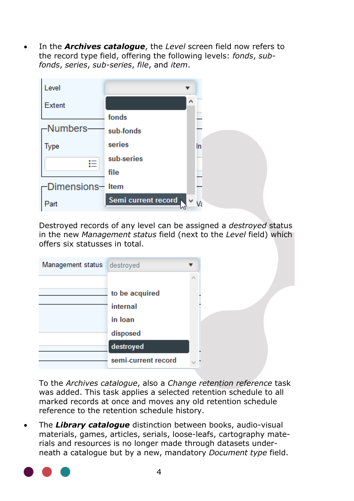• In the *Archives catalogue*, the *Level* screen field now refers to the record type field, offering the following levels: *fonds*, *subfonds*, *series*, *sub-series*, *file*, and *item*.



Destroyed records of any level can be assigned a *destroyed* status in the new *Management status* field (next to the *Level* field) which offers six statusses in total.

| Management status | destroyed           |  |
|-------------------|---------------------|--|
|                   |                     |  |
|                   | to be acquired      |  |
|                   | internal            |  |
|                   | in Ioan             |  |
|                   | disposed            |  |
|                   | destroyed           |  |
|                   | semi-current record |  |
|                   |                     |  |

To the *Archives catalogue*, also a *Change retention reference* task was added. This task applies a selected retention schedule to all marked records at once and moves any old retention schedule reference to the retention schedule history.

• The *Library catalogue* distinction between books, audio-visual materials, games, articles, serials, loose-leafs, cartography materials and resources is no longer made through datasets underneath a catalogue but by a new, mandatory *Document type* field.

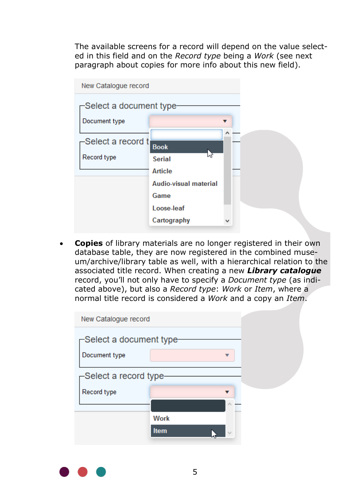The available screens for a record will depend on the value selected in this field and on the *Record type* being a *Work* (see next paragraph about copies for more info about this new field).

| New Catalogue record                 |                       |   |  |  |  |
|--------------------------------------|-----------------------|---|--|--|--|
| -Select a document type <del>.</del> |                       |   |  |  |  |
| Document type                        |                       |   |  |  |  |
| -Select a record t                   | <b>Book</b><br>hz     |   |  |  |  |
| Record type                          | <b>Serial</b>         |   |  |  |  |
|                                      | <b>Article</b>        |   |  |  |  |
|                                      | Audio-visual material |   |  |  |  |
|                                      | Game                  |   |  |  |  |
|                                      | Loose-leaf            |   |  |  |  |
|                                      | Cartography           | v |  |  |  |

• **Copies** of library materials are no longer registered in their own database table, they are now registered in the combined museum/archive/library table as well, with a hierarchical relation to the associated title record. When creating a new *Library catalogue* record, you'll not only have to specify a *Document type* (as indicated above), but also a *Record type*: *Work* or *Item*, where a normal title record is considered a *Work* and a copy an *Item*.

| New Catalogue record                 |                             |  |
|--------------------------------------|-----------------------------|--|
| –Select a document type <del>.</del> |                             |  |
| Document type                        |                             |  |
| –Select a record type-               |                             |  |
| Record type                          |                             |  |
|                                      | $\mathcal{L}_{\mathcal{N}}$ |  |
|                                      | <b>Work</b>                 |  |
|                                      | <b>Item</b>                 |  |

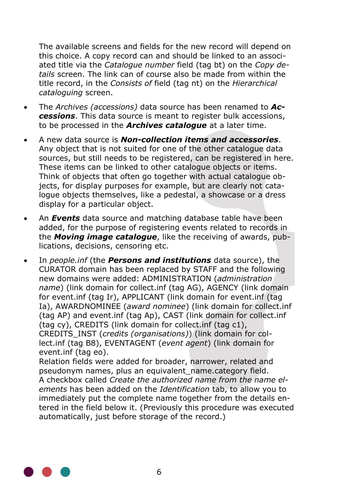The available screens and fields for the new record will depend on this choice. A copy record can and should be linked to an associated title via the *Catalogue number* field (tag bt) on the *Copy details* screen. The link can of course also be made from within the title record, in the *Consists of* field (tag nt) on the *Hierarchical cataloguing* screen.

- The *Archives (accessions)* data source has been renamed to *Accessions*. This data source is meant to register bulk accessions, to be processed in the *Archives catalogue* at a later time.
- A new data source is *Non-collection items and accessories*. Any object that is not suited for one of the other catalogue data sources, but still needs to be registered, can be registered in here. These items can be linked to other catalogue objects or items. Think of objects that often go together with actual catalogue objects, for display purposes for example, but are clearly not catalogue objects themselves, like a pedestal, a showcase or a dress display for a particular object.
- An *Events* data source and matching database table have been added, for the purpose of registering events related to records in the *Moving image catalogue*, like the receiving of awards, publications, decisions, censoring etc.
- In *people.inf* (the *Persons and institutions* data source), the CURATOR domain has been replaced by STAFF and the following new domains were added: ADMINISTRATION (*administration name*) (link domain for collect.inf (tag AG), AGENCY (link domain for event.inf (tag Ir), APPLICANT (link domain for event.inf (tag Ia), AWARDNOMINEE (*award nominee*) (link domain for collect.inf (tag AP) and event.inf (tag Ap), CAST (link domain for collect.inf (tag cy), CREDITS (link domain for collect.inf (tag c1), CREDITS\_INST (*credits (organisations)*) (link domain for collect.inf (tag B8), EVENTAGENT (*event agent*) (link domain for event.inf (tag eo).

Relation fields were added for broader, narrower, related and pseudonym names, plus an equivalent\_name.category field. A checkbox called *Create the authorized name from the name elements* has been added on the *Identification* tab, to allow you to immediately put the complete name together from the details entered in the field below it. (Previously this procedure was executed automatically, just before storage of the record.)

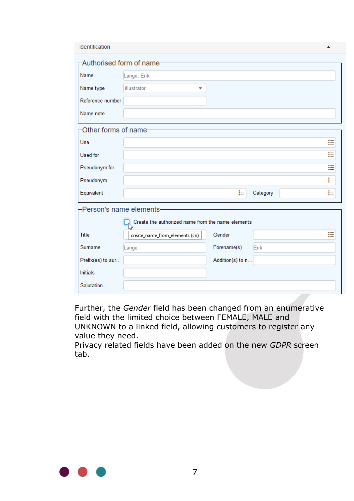| Identification            |                                                   |                  |          | ▲ |
|---------------------------|---------------------------------------------------|------------------|----------|---|
| -Authorised form of name- |                                                   |                  |          |   |
| Name                      | Lange, Erik                                       |                  |          |   |
| Name type                 | illustrator<br>▼                                  |                  |          |   |
| Reference number          |                                                   |                  |          |   |
| Name note                 |                                                   |                  |          |   |
| -Other forms of name-     |                                                   |                  |          |   |
| Use                       |                                                   |                  |          | ₽ |
| <b>Used</b> for           |                                                   |                  |          | ₽ |
| Pseudonym for             |                                                   |                  |          | ₽ |
| Pseudonym                 |                                                   |                  |          | 挂 |
| Equivalent                |                                                   | 拦                | Category | ⊨ |
| -Person's name elements-  |                                                   |                  |          |   |
|                           | Create the authorized name from the name elements |                  |          |   |
| <b>Title</b>              | create_name_from_elements (cn)                    | Gender           |          | ⋿ |
| Surname                   | Lange                                             | Forename(s)      | Erik     |   |
| Prefix(es) to sur         |                                                   | Addition(s) to n |          |   |
| <b>Initials</b>           |                                                   |                  |          |   |
| Salutation                |                                                   |                  |          |   |
|                           |                                                   |                  |          |   |

Further, the *Gender* field has been changed from an enumerative field with the limited choice between FEMALE, MALE and UNKNOWN to a linked field, allowing customers to register any value they need.

Privacy related fields have been added on the new *GDPR* screen tab.

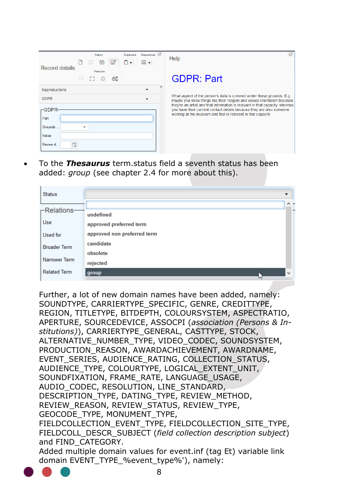| Record details             | Action<br>$\boxtimes$<br>b<br>u      | Occurrence <b>D</b><br>Clipboard<br>≔▼<br>۰ | ☞<br>Help                                                                                                                                                                                                           |
|----------------------------|--------------------------------------|---------------------------------------------|---------------------------------------------------------------------------------------------------------------------------------------------------------------------------------------------------------------------|
|                            | Features<br>53.<br><b>Alt</b><br>තුද | $\wedge$                                    | <b>GDPR: Part</b>                                                                                                                                                                                                   |
| <b>Reproductions</b>       |                                      |                                             |                                                                                                                                                                                                                     |
| <b>GDPR</b>                |                                      |                                             | What aspect of the person's data is covered under these grounds. E.g.<br>maybe you know things like their religion and sexual orientation because                                                                   |
| $-GDPR$<br>Part<br>Grounds | ٠                                    |                                             | they're an artist and that information is relevant in that capacity, whereas<br>you have their current contact details because they are also someone<br>working at the museum and that is relevant in that capacity |
| <b>Notes</b>               |                                      |                                             |                                                                                                                                                                                                                     |
| 曲<br>Review d              |                                      |                                             |                                                                                                                                                                                                                     |

• To the *Thesaurus* term.status field a seventh status has been added: *group* (see chapter [2.4](#page-31-0) for more about this).

|                             | $\wedge$ -   |
|-----------------------------|--------------|
| undefined                   |              |
| approved preferred term     |              |
| approved non preferred term |              |
| candidate                   |              |
| obsolete                    |              |
| rejected                    |              |
| group                       | $\mathbf{v}$ |
|                             | и            |

Further, a lot of new domain names have been added, namely: SOUNDTYPE, CARRIERTYPE\_SPECIFIC, GENRE, CREDITTYPE, REGION, TITLETYPE, BITDEPTH, COLOURSYSTEM, ASPECTRATIO, APERTURE, SOURCEDEVICE, ASSOCPI (*association (Persons & Institutions)*), CARRIERTYPE\_GENERAL, CASTTYPE, STOCK, ALTERNATIVE\_NUMBER\_TYPE, VIDEO\_CODEC, SOUNDSYSTEM, PRODUCTION\_REASON, AWARDACHIEVEMENT, AWARDNAME, EVENT\_SERIES, AUDIENCE\_RATING, COLLECTION\_STATUS, AUDIENCE\_TYPE, COLOURTYPE, LOGICAL\_EXTENT\_UNIT, SOUNDFIXATION, FRAME\_RATE, LANGUAGE\_USAGE, AUDIO\_CODEC, RESOLUTION, LINE\_STANDARD, DESCRIPTION\_TYPE, DATING\_TYPE, REVIEW\_METHOD, REVIEW\_REASON, REVIEW\_STATUS, REVIEW\_TYPE, GEOCODE\_TYPE, MONUMENT\_TYPE, FIELDCOLLECTION\_EVENT\_TYPE, FIELDCOLLECTION\_SITE\_TYPE, FIELDCOLL\_DESCR\_SUBJECT (*field collection description subject*) and FIND\_CATEGORY. Added multiple domain values for event.inf (tag Et) variable link domain EVENT\_TYPE\_%event\_type%'), namely:

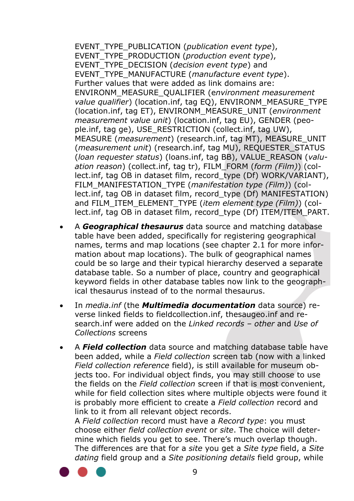EVENT\_TYPE\_PUBLICATION (*publication event type*), EVENT\_TYPE\_PRODUCTION (*production event type*), EVENT\_TYPE\_DECISION (*decision event type*) and EVENT\_TYPE\_MANUFACTURE (*manufacture event type*). Further values that were added as link domains are: ENVIRONM\_MEASURE\_QUALIFIER (e*nvironment measurement value qualifier*) (location.inf, tag EQ), ENVIRONM\_MEASURE\_TYPE (location.inf, tag ET), ENVIRONM\_MEASURE\_UNIT (*environment measurement value unit*) (location.inf, tag EU), GENDER (people.inf, tag ge), USE\_RESTRICTION (collect.inf, tag UW), MEASURE (*measurement*) (research.inf, tag MT), MEASURE\_UNIT (*measurement unit*) (research.inf, tag MU), REQUESTER\_STATUS (*loan requester status*) (loans.inf, tag BB), VALUE\_REASON (*valuation reason*) (collect.inf, tag tr), FILM\_FORM (*form (Film)*) (collect.inf, tag OB in dataset film, record\_type (Df) WORK/VARIANT), FILM\_MANIFESTATION\_TYPE (*manifestation type (Film)*) (collect.inf, tag OB in dataset film, record\_type (Df) MANIFESTATION) and FILM\_ITEM\_ELEMENT\_TYPE (*item element type (Film)*) (collect.inf, tag OB in dataset film, record\_type (Df) ITEM/ITEM\_PART.

- A *Geographical thesaurus* data source and matching database table have been added, specifically for registering geographical names, terms and map locations (see chapter [2.1](#page-18-0) for more information about map locations). The bulk of geographical names could be so large and their typical hierarchy deserved a separate database table. So a number of place, country and geographical keyword fields in other database tables now link to the geographical thesaurus instead of to the normal thesaurus.
- In *media.inf* (the *Multimedia documentation* data source) reverse linked fields to fieldcollection.inf, thesaugeo.inf and research.inf were added on the *Linked records – other* and *Use of Collections* screens
- A *Field collection* data source and matching database table have been added, while a *Field collection* screen tab (now with a linked *Field collection reference* field), is still available for museum objects too. For individual object finds, you may still choose to use the fields on the *Field collection* screen if that is most convenient, while for field collection sites where multiple objects were found it is probably more efficient to create a *Field collection* record and link to it from all relevant object records.

A *Field collection* record must have a *Record type*: you must choose either *field collection event* or *site*. The choice will determine which fields you get to see. There's much overlap though. The differences are that for a *site* you get a *Site type* field, a *Site dating* field group and a *Site positioning details* field group, while

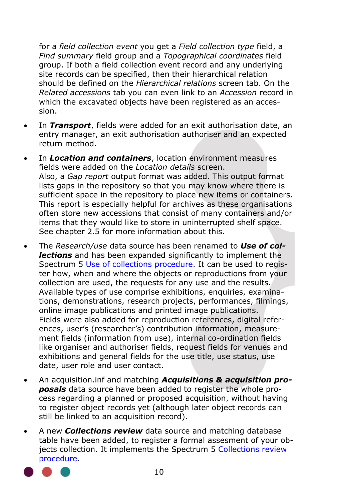for a *field collection event* you get a *Field collection type* field, a *Find summary* field group and a *Topographical coordinates* field group. If both a field collection event record and any underlying site records can be specified, then their hierarchical relation should be defined on the *Hierarchical relations* screen tab. On the *Related accessions* tab you can even link to an *Accession* record in which the excavated objects have been registered as an accession.

- In *Transport*, fields were added for an exit authorisation date, an entry manager, an exit authorisation authoriser and an expected return method.
- In *Location and containers*, location environment measures fields were added on the *Location details* screen. Also, a *Gap report* output format was added. This output format lists gaps in the repository so that you may know where there is sufficient space in the repository to place new items or containers. This report is especially helpful for archives as these organisations often store new accessions that consist of many containers and/or items that they would like to store in uninterrupted shelf space. See chapter [2.5](#page-33-0) for more information about this.
- The *Research/use* data source has been renamed to *Use of collections* and has been expanded significantly to implement the Spectrum 5 [Use of collections](https://collectionstrust.org.uk/spectrum/procedures/use-of-collections-spectrum-5-0/) procedure. It can be used to register how, when and where the objects or reproductions from your collection are used, the requests for any use and the results. Available types of use comprise exhibitions, enquiries, examinations, demonstrations, research projects, performances, filmings, online image publications and printed image publications. Fields were also added for reproduction references, digital references, user's (researcher's) contribution information, measurement fields (information from use), internal co-ordination fields like organiser and authoriser fields, request fields for venues and exhibitions and general fields for the use title, use status, use date, user role and user contact.
- An acquisition.inf and matching *Acquisitions & acquisition proposals* data source have been added to register the whole process regarding a planned or proposed acquisition, without having to register object records yet (although later object records can still be linked to an acquisition record).
- A new *Collections review* data source and matching database table have been added, to register a formal assesment of your objects collection. It implements the Spectrum 5 [Collections](https://collectionstrust.org.uk/spectrum/procedures/collections-review-spectrum-5-0/) review [procedure.](https://collectionstrust.org.uk/spectrum/procedures/collections-review-spectrum-5-0/)

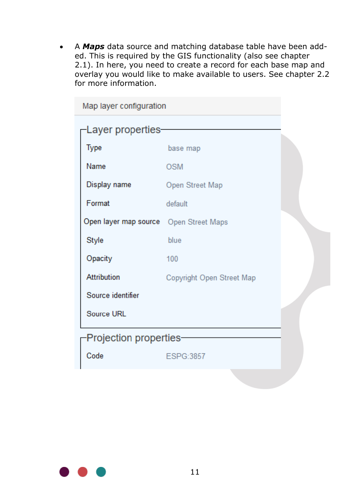• A *Maps* data source and matching database table have been added. This is required by the GIS functionality (also see chapter [2.1\)](#page-18-0). In here, you need to create a record for each base map and overlay you would like to make available to users. See chapter [2.2](#page-19-0) for more information.

| Map layer configuration                |                           |  |  |
|----------------------------------------|---------------------------|--|--|
| Layer properties-                      |                           |  |  |
| Type                                   | base map                  |  |  |
| Name                                   | <b>OSM</b>                |  |  |
| Display name                           | Open Street Map           |  |  |
| Format                                 | default                   |  |  |
| Open layer map source Open Street Maps |                           |  |  |
| Style                                  | blue                      |  |  |
| Opacity                                | 100                       |  |  |
| <b>Attribution</b>                     | Copyright Open Street Map |  |  |
| Source identifier                      |                           |  |  |
| Source URL                             |                           |  |  |
| Projection properties-                 |                           |  |  |
| Code                                   | ESPG:3857                 |  |  |
|                                        |                           |  |  |

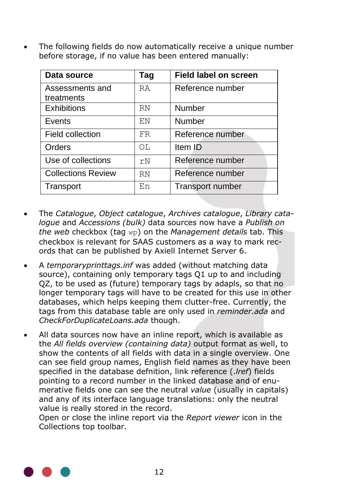• The following fields do now automatically receive a unique number before storage, if no value has been entered manually:

| Data source               | Tag          | <b>Field label on screen</b> |
|---------------------------|--------------|------------------------------|
| Assessments and           | <b>RA</b>    | Reference number             |
| treatments                |              |                              |
| <b>Exhibitions</b>        | <b>RN</b>    | Number                       |
| Events                    | F.N          | Number                       |
| Field collection          | FR           | Reference number             |
| Orders                    | $\bigcirc$ T | Item ID                      |
| Use of collections        | rN           | Reference number             |
| <b>Collections Review</b> | <b>RN</b>    | Reference number             |
| Transport                 | F.n          | Transport number             |

- The *Catalogue*, *Object catalogue*, *Archives catalogue*, *Library catalogue* and *Accessions (bulk)* data sources now have a *Publish on the web* checkbox (tag wp) on the *Management details* tab. This checkbox is relevant for SAAS customers as a way to mark records that can be published by Axiell Internet Server 6.
- A *temporaryprinttags.inf* was added (without matching data source), containing only temporary tags O1 up to and including QZ, to be used as (future) temporary tags by adapls, so that no longer temporary tags will have to be created for this use in other databases, which helps keeping them clutter-free. Currently, the tags from this database table are only used in *reminder.ada* and *CheckForDuplicateLoans.ada* though.
- All data sources now have an inline report, which is available as the *All fields overview (containing data)* output format as well, to show the contents of all fields with data in a single overview. One can see field group names, English field names as they have been specified in the database defnition, link reference (.*lref*) fields pointing to a record number in the linked database and of enumerative fields one can see the neutral *value* (usually in capitals) and any of its interface language translations: only the neutral value is really stored in the record.

Open or close the inline report via the *Report viewer* icon in the Collections top toolbar.

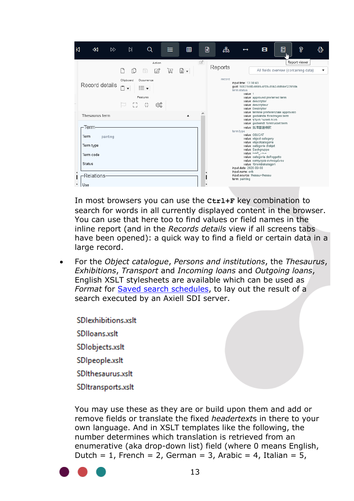

In most browsers you can use the **Ctrl+F** key combination to search for words in all currently displayed content in the browser. You can use that here too to find values or field names in the inline report (and in the *Records details* view if all screens tabs have been opened): a quick way to find a field or certain data in a large record.

• For the *Object catalogue*, *Persons and institutions*, the *Thesaurus*, *Exhibitions*, *Transport* and *Incoming loans* and *Outgoing loans*, English XSLT stylesheets are available which can be used as *Format* for [Saved search schedules,](http://documentation.axiell.com/alm/collections/en/index.html?ac_dialogsavedsearchschedule.html) to lay out the result of a search executed by an Axiell SDI server.

**SDlexhibitions.xslt** SDIIoans.xslt SDlobjects.xslt SDIpeople.xslt SDIthesaurus.xslt SDItransports.xslt

You may use these as they are or build upon them and add or remove fields or translate the fixed *headertext*s in there to your own language. And in XSLT templates like the following, the number determines which translation is retrieved from an enumerative (aka drop-down list) field (where 0 means English, Dutch = 1, French = 2, German = 3, Arabic = 4, Italian = 5,

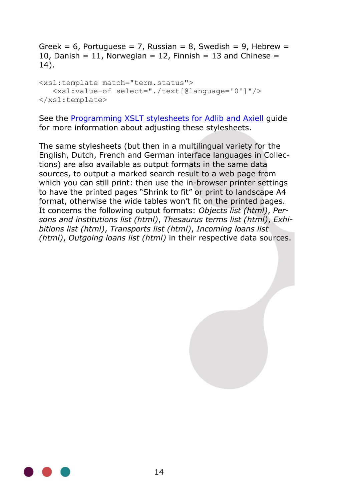Greek = 6, Portuguese = 7, Russian = 8, Swedish = 9, Hebrew = 10, Danish = 11, Norwegian = 12, Finnish = 13 and Chinese = 14).

<xsl:template match="term.status"> <xsl:value-of select="./text[@language='0']"/> </xsl:template>

See the [Programming XSLT stylesheets for Adlib and Axiell](http://documentation.axiell.com/alm/Adlib/documentation/English/maintenance-guides/Programming%20XSLT%20stylesheets%20for%20Adlib%20and%20Axiell.pdf) guide for more information about adjusting these stylesheets.

The same stylesheets (but then in a multilingual variety for the English, Dutch, French and German interface languages in Collections) are also available as output formats in the same data sources, to output a marked search result to a web page from which you can still print: then use the in-browser printer settings to have the printed pages "Shrink to fit" or print to landscape A4 format, otherwise the wide tables won't fit on the printed pages. It concerns the following output formats: *Objects list (html)*, *Persons and institutions list (html)*, *Thesaurus terms list (html)*, *Exhibitions list (html)*, *Transports list (html)*, *Incoming loans list (html)*, *Outgoing loans list (html)* in their respective data sources.

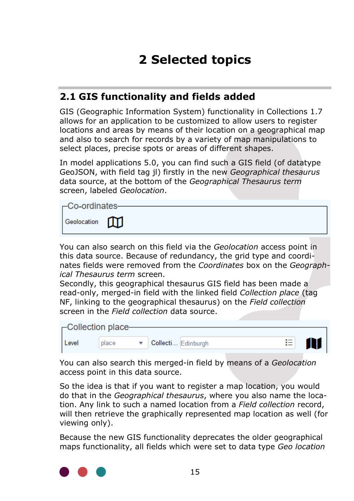# **2 Selected topics**

### <span id="page-18-0"></span>**2.1 GIS functionality and fields added**

GIS (Geographic Information System) functionality in Collections 1.7 allows for an application to be customized to allow users to register locations and areas by means of their location on a geographical map and also to search for records by a variety of map manipulations to select places, precise spots or areas of different shapes.

In model applications 5.0, you can find such a GIS field (of datatype GeoJSON, with field tag jl) firstly in the new *Geographical thesaurus* data source, at the bottom of the *Geographical Thesaurus term* screen, labeled *Geolocation*.



You can also search on this field via the *Geolocation* access point in this data source. Because of redundancy, the grid type and coordinates fields were removed from the *Coordinates* box on the *Geographical Thesaurus term* screen.

Secondly, this geographical thesaurus GIS field has been made a read-only, merged-in field with the linked field *Collection place* (tag NF, linking to the geographical thesaurus) on the *Field collection* screen in the *Field collection* data source.

| -Collection place- |       |  |                         |  |
|--------------------|-------|--|-------------------------|--|
| Level              | place |  | 這<br>Collecti Edinburgh |  |

You can also search this merged-in field by means of a *Geolocation* access point in this data source.

So the idea is that if you want to register a map location, you would do that in the *Geographical thesaurus*, where you also name the location. Any link to such a named location from a *Field collection* record, will then retrieve the graphically represented map location as well (for viewing only).

Because the new GIS functionality deprecates the older geographical maps functionality, all fields which were set to data type *Geo location*

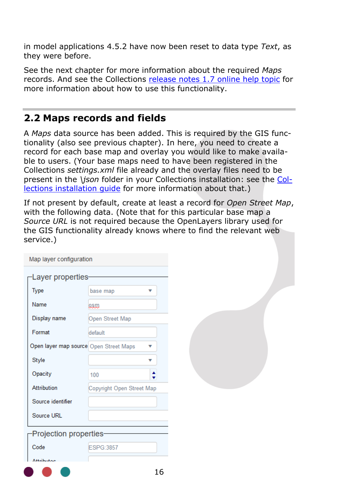in model applications 4.5.2 have now been reset to data type *Text*, as they were before.

See the next chapter for more information about the required *Maps* records. And see the Collections [release notes 1.7 online help topic](http://documentation.axiell.com/alm/collections/en/index.html?ac_release_notes1_7.html) for more information about how to use this functionality.

#### <span id="page-19-0"></span>**2.2 Maps records and fields**

A *Maps* data source has been added. This is required by the GIS functionality (also see previous chapter). In here, you need to create a record for each base map and overlay you would like to make available to users. (Your base maps need to have been registered in the Collections *settings.xml* file already and the overlay files need to be present in the *\json* folder in your Collections installation: see the [Col](http://documentation.axiell.com/alm/collections/downloads/CollectionsInstallationGuide.zip)lections installation quide for more information about that.)

If not present by default, create at least a record for *Open Street Map*, with the following data. (Note that for this particular base map a *Source URL* is not required because the OpenLayers library used for the GIS functionality already knows where to find the relevant web service.)

| Map layer configuration                |                           |
|----------------------------------------|---------------------------|
| Layer properties                       |                           |
| <b>Type</b>                            | base map                  |
| Name                                   | osw                       |
| Display name                           | Open Street Map           |
| Format                                 | default                   |
| Open layer map source Open Street Maps | v                         |
| Style                                  |                           |
| Opacity                                | 100                       |
| Attribution                            | Copyright Open Street Map |
| Source identifier                      |                           |
| Source URL                             |                           |
| <b>Projection properties</b>           |                           |
| Code                                   | ESPG:3857                 |
| ممغساتيه                               |                           |
|                                        | 16                        |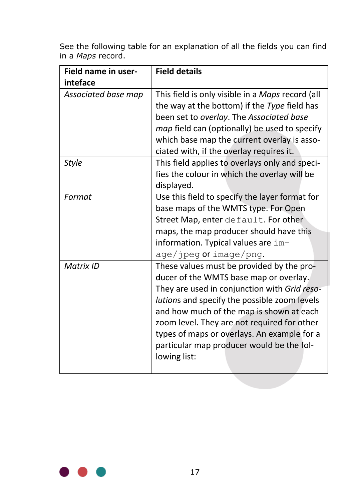See the following table for an explanation of all the fields you can find in a *Maps* record.

| Field name in user-<br>inteface | <b>Field details</b>                                                                                                                                                                                                                                                                                                                                                                       |
|---------------------------------|--------------------------------------------------------------------------------------------------------------------------------------------------------------------------------------------------------------------------------------------------------------------------------------------------------------------------------------------------------------------------------------------|
| Associated base map             | This field is only visible in a Maps record (all<br>the way at the bottom) if the Type field has<br>been set to overlay. The Associated base<br><i>map</i> field can (optionally) be used to specify<br>which base map the current overlay is asso-<br>ciated with, if the overlay requires it.                                                                                            |
| <b>Style</b>                    | This field applies to overlays only and speci-<br>fies the colour in which the overlay will be<br>displayed.                                                                                                                                                                                                                                                                               |
| Format                          | Use this field to specify the layer format for<br>base maps of the WMTS type. For Open<br>Street Map, enter default. For other<br>maps, the map producer should have this<br>information. Typical values are im-<br>age/jpeg or image/png.                                                                                                                                                 |
| Matrix ID                       | These values must be provided by the pro-<br>ducer of the WMTS base map or overlay.<br>They are used in conjunction with Grid reso-<br>lutions and specify the possible zoom levels<br>and how much of the map is shown at each<br>zoom level. They are not required for other<br>types of maps or overlays. An example for a<br>particular map producer would be the fol-<br>lowing list: |

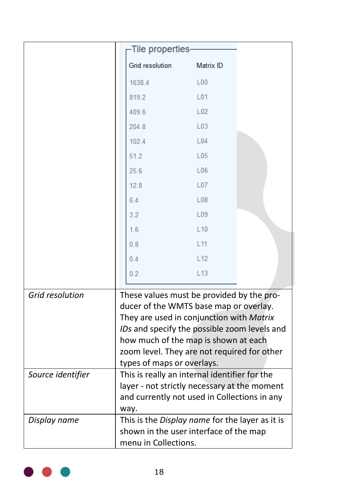|                   | -Tile properties                                                                                                                                                                                                                                                                                     |                 |  |
|-------------------|------------------------------------------------------------------------------------------------------------------------------------------------------------------------------------------------------------------------------------------------------------------------------------------------------|-----------------|--|
|                   | <b>Grid resolution</b>                                                                                                                                                                                                                                                                               | Matrix ID       |  |
|                   | 1638.4                                                                                                                                                                                                                                                                                               | L00             |  |
|                   | 819.2                                                                                                                                                                                                                                                                                                | L01             |  |
|                   | 409.6                                                                                                                                                                                                                                                                                                | L <sub>02</sub> |  |
|                   | 204.8                                                                                                                                                                                                                                                                                                | L <sub>03</sub> |  |
|                   | 102.4                                                                                                                                                                                                                                                                                                | L04             |  |
|                   | 51.2                                                                                                                                                                                                                                                                                                 | L05             |  |
|                   | 25.6                                                                                                                                                                                                                                                                                                 | L <sub>06</sub> |  |
|                   | 12.8                                                                                                                                                                                                                                                                                                 | L07             |  |
|                   | 6.4                                                                                                                                                                                                                                                                                                  | L08             |  |
|                   | 3.2                                                                                                                                                                                                                                                                                                  | L <sub>09</sub> |  |
|                   | 1.6                                                                                                                                                                                                                                                                                                  | L10             |  |
|                   | 0.8                                                                                                                                                                                                                                                                                                  | L11             |  |
|                   | 0.4                                                                                                                                                                                                                                                                                                  | L12             |  |
|                   | 0 <sub>2</sub>                                                                                                                                                                                                                                                                                       | L13             |  |
| Grid resolution   | These values must be provided by the pro-<br>ducer of the WMTS base map or overlay.<br>They are used in conjunction with Matrix<br>IDs and specify the possible zoom levels and<br>how much of the map is shown at each<br>zoom level. They are not required for other<br>types of maps or overlays. |                 |  |
| Source identifier | This is really an internal identifier for the<br>layer - not strictly necessary at the moment<br>and currently not used in Collections in any<br>way.                                                                                                                                                |                 |  |
| Display name      | This is the Display name for the layer as it is<br>shown in the user interface of the map<br>menu in Collections.                                                                                                                                                                                    |                 |  |

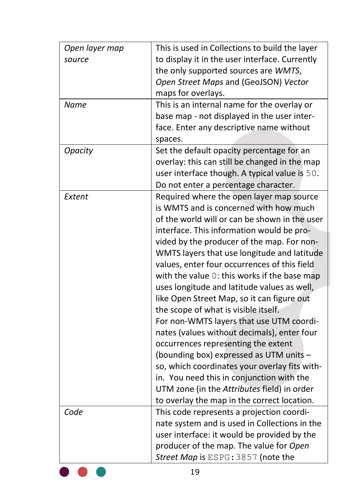| Open layer map | This is used in Collections to build the layer |
|----------------|------------------------------------------------|
| source         | to display it in the user interface. Currently |
|                | the only supported sources are WMTS,           |
|                | Open Street Maps and (GeoJSON) Vector          |
|                | maps for overlays.                             |
| Name           | This is an internal name for the overlay or    |
|                | base map - not displayed in the user inter-    |
|                | face. Enter any descriptive name without       |
|                | spaces.                                        |
| <b>Opacity</b> | Set the default opacity percentage for an      |
|                | overlay: this can still be changed in the map  |
|                | user interface though. A typical value is 50.  |
|                | Do not enter a percentage character.           |
| Extent         | Required where the open layer map source       |
|                | is WMTS and is concerned with how much         |
|                | of the world will or can be shown in the user  |
|                | interface. This information would be pro-      |
|                | vided by the producer of the map. For non-     |
|                | WMTS layers that use longitude and latitude    |
|                | values, enter four occurrences of this field   |
|                | with the value 0: this works if the base map   |
|                | uses longitude and latitude values as well,    |
|                | like Open Street Map, so it can figure out     |
|                | the scope of what is visible itself.           |
|                | For non-WMTS layers that use UTM coordi-       |
|                | nates (values without decimals), enter four    |
|                | occurrences representing the extent            |
|                | (bounding box) expressed as UTM units -        |
|                | so, which coordinates your overlay fits with-  |
|                | in. You need this in conjunction with the      |
|                | UTM zone (in the Attributes field) in order    |
|                | to overlay the map in the correct location.    |
| Code           | This code represents a projection coordi-      |
|                | nate system and is used in Collections in the  |
|                | user interface: it would be provided by the    |
|                | producer of the map. The value for Open        |
|                | Street Map is ESPG: 3857 (note the             |
|                | 19                                             |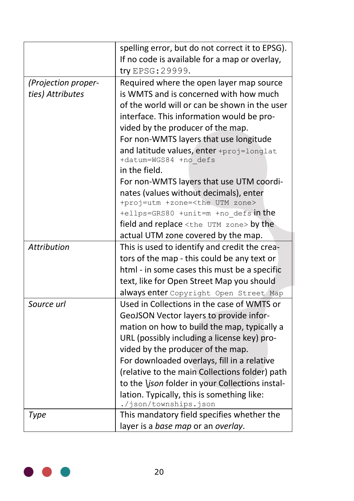|                     | spelling error, but do not correct it to EPSG).<br>If no code is available for a map or overlay,<br>try EPSG: 29999. |
|---------------------|----------------------------------------------------------------------------------------------------------------------|
| (Projection proper- | Required where the open layer map source                                                                             |
| ties) Attributes    | is WMTS and is concerned with how much                                                                               |
|                     | of the world will or can be shown in the user                                                                        |
|                     |                                                                                                                      |
|                     | interface. This information would be pro-<br>vided by the producer of the map.                                       |
|                     | For non-WMTS layers that use longitude                                                                               |
|                     |                                                                                                                      |
|                     | and latitude values, enter +proj=longlat<br>+datum=WGS84 +no defs                                                    |
|                     | in the field.                                                                                                        |
|                     | For non-WMTS layers that use UTM coordi-                                                                             |
|                     | nates (values without decimals), enter                                                                               |
|                     | +proj=utm +zone= <the utm="" zone=""></the>                                                                          |
|                     | +ellps=GRS80 +unit=m +no defs in the                                                                                 |
|                     | field and replace <the utm="" zone=""> by the</the>                                                                  |
|                     | actual UTM zone covered by the map.                                                                                  |
| Attribution         | This is used to identify and credit the crea-                                                                        |
|                     | tors of the map - this could be any text or                                                                          |
|                     | html - in some cases this must be a specific                                                                         |
|                     | text, like for Open Street Map you should                                                                            |
|                     | always enter Copyright Open Street Map                                                                               |
| Source url          | Used in Collections in the case of WMTS or                                                                           |
|                     | GeoJSON Vector layers to provide infor-                                                                              |
|                     | mation on how to build the map, typically a                                                                          |
|                     | URL (possibly including a license key) pro-                                                                          |
|                     | vided by the producer of the map.                                                                                    |
|                     | For downloaded overlays, fill in a relative                                                                          |
|                     | (relative to the main Collections folder) path                                                                       |
|                     | to the <i>\json</i> folder in your Collections instal-                                                               |
|                     | lation. Typically, this is something like:                                                                           |
|                     | ./json/townships.json                                                                                                |
| Type                | This mandatory field specifies whether the                                                                           |
|                     | layer is a base map or an overlay.                                                                                   |

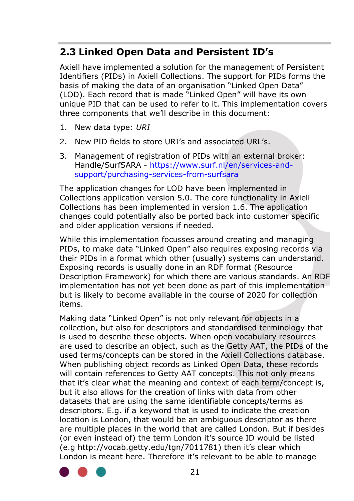## **2.3 Linked Open Data and Persistent ID's**

Axiell have implemented a solution for the management of Persistent Identifiers (PIDs) in Axiell Collections. The support for PIDs forms the basis of making the data of an organisation "Linked Open Data" (LOD). Each record that is made "Linked Open" will have its own unique PID that can be used to refer to it. This implementation covers three components that we'll describe in this document:

- 1. New data type: *URI*
- 2. New PID fields to store URI's and associated URL's.
- 3. Management of registration of PIDs with an external broker: Handle/SurfSARA - [https://www.surf.nl/en/services-and](https://www.surf.nl/en/services-and-support/purchasing-services-from-surfsara)[support/purchasing-services-from-surfsara](https://www.surf.nl/en/services-and-support/purchasing-services-from-surfsara)

The application changes for LOD have been implemented in Collections application version 5.0. The core functionality in Axiell Collections has been implemented in version 1.6. The application changes could potentially also be ported back into customer specific and older application versions if needed.

While this implementation focusses around creating and managing PIDs, to make data "Linked Open" also requires exposing records via their PIDs in a format which other (usually) systems can understand. Exposing records is usually done in an RDF format (Resource Description Framework) for which there are various standards. An RDF implementation has not yet been done as part of this implementation but is likely to become available in the course of 2020 for collection items.

Making data "Linked Open" is not only relevant for objects in a collection, but also for descriptors and standardised terminology that is used to describe these objects. When open vocabulary resources are used to describe an object, such as the Getty AAT, the PIDs of the used terms/concepts can be stored in the Axiell Collections database. When publishing object records as Linked Open Data, these records will contain references to Getty AAT concepts. This not only means that it's clear what the meaning and context of each term/concept is, but it also allows for the creation of links with data from other datasets that are using the same identifiable concepts/terms as descriptors. E.g. if a keyword that is used to indicate the creation location is London, that would be an ambiguous descriptor as there are multiple places in the world that are called London. But if besides (or even instead of) the term London it's source ID would be listed (e.g http://vocab.getty.edu/tgn/7011781) then it's clear which London is meant here. Therefore it's relevant to be able to manage

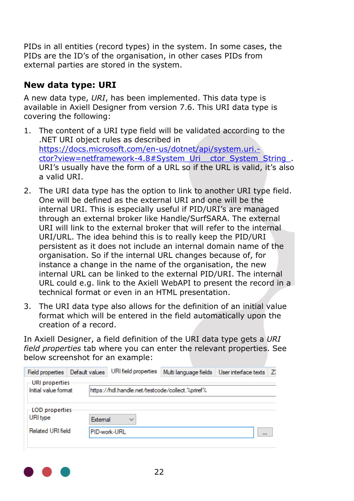PIDs in all entities (record types) in the system. In some cases, the PIDs are the ID's of the organisation, in other cases PIDs from external parties are stored in the system.

#### **New data type: URI**

A new data type, *URI*, has been implemented. This data type is available in Axiell Designer from version 7.6. This URI data type is covering the following:

- 1. The content of a URI type field will be validated according to the .NET URI object rules as described in [https://docs.microsoft.com/en-us/dotnet/api/system.uri.](https://docs.microsoft.com/en-us/dotnet/api/system.uri.-ctor?view=netframework-4.8#System_Uri__ctor_System_String_) [ctor?view=netframework-4.8#System\\_Uri\\_\\_ctor\\_System\\_String\\_.](https://docs.microsoft.com/en-us/dotnet/api/system.uri.-ctor?view=netframework-4.8#System_Uri__ctor_System_String_) URI's usually have the form of a URL so if the URL is valid, it's also a valid URI.
- 2. The URI data type has the option to link to another URI type field. One will be defined as the external URI and one will be the internal URI. This is especially useful if PID/URI's are managed through an external broker like Handle/SurfSARA. The external URI will link to the external broker that will refer to the internal URI/URL. The idea behind this is to really keep the PID/URI persistent as it does not include an internal domain name of the organisation. So if the internal URL changes because of, for instance a change in the name of the organisation, the new internal URL can be linked to the external PID/URI. The internal URL could e.g. link to the Axiell WebAPI to present the record in a technical format or even in an HTML presentation.
- 3. The URI data type also allows for the definition of an initial value format which will be entered in the field automatically upon the creation of a record.

In Axiell Designer, a field definition of the URI data type gets a *URI field properties* tab where you can enter the relevant properties. See below screenshot for an example:

| <b>Field properties</b>                | Default values |          | URI field properties                              | Multi language fields   User interface texts |     | Z. |
|----------------------------------------|----------------|----------|---------------------------------------------------|----------------------------------------------|-----|----|
| URI properties<br>Initial value format |                |          | lhttps://hdl.handle.net/testcode/collect.%priref% |                                              |     |    |
| <b>LOD</b> properties<br>URI type      |                | External | $\checkmark$                                      |                                              |     |    |
| Related URI field                      |                |          | PID-work-URL                                      |                                              | 111 |    |
|                                        |                |          |                                                   |                                              |     |    |

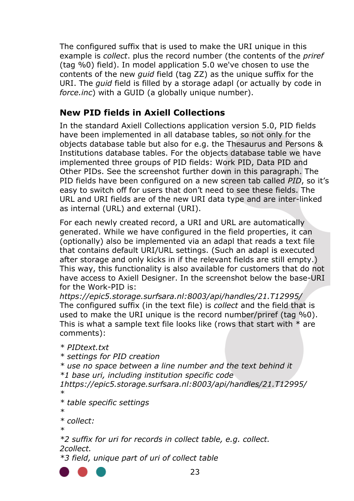The configured suffix that is used to make the URI unique in this example is *collect*. plus the record number (the contents of the *priref* (tag %0) field). In model application 5.0 we've chosen to use the contents of the new *guid* field (tag ZZ) as the unique suffix for the URI. The *guid* field is filled by a storage adapl (or actually by code in *force.inc*) with a GUID (a globally unique number).

#### **New PID fields in Axiell Collections**

In the standard Axiell Collections application version 5.0, PID fields have been implemented in all database tables, so not only for the objects database table but also for e.g. the Thesaurus and Persons & Institutions database tables. For the objects database table we have implemented three groups of PID fields: Work PID, Data PID and Other PIDs. See the screenshot further down in this paragraph. The PID fields have been configured on a new screen tab called *PID*, so it's easy to switch off for users that don't need to see these fields. The URL and URI fields are of the new URI data type and are inter-linked as internal (URL) and external (URI).

For each newly created record, a URI and URL are automatically generated. While we have configured in the field properties, it can (optionally) also be implemented via an adapl that reads a text file that contains default URI/URL settings. (Such an adapl is executed after storage and only kicks in if the relevant fields are still empty.) This way, this functionality is also available for customers that do not have access to Axiell Designer. In the screenshot below the base-URI for the Work-PID is:

*https://epic5.storage.surfsara.nl:8003/api/handles/21.T12995/* The configured suffix (in the text file) is *collect* and the field that is used to make the URI unique is the record number/priref (tag %0). This is what a sample text file looks like (rows that start with  $*$  are comments):

```
* PIDtext.txt
* settings for PID creation
* use no space between a line number and the text behind it
*1 base uri, including institution specific code
1https://epic5.storage.surfsara.nl:8003/api/handles/21.T12995/
*
* table specific settings
*
* collect:
*
*2 suffix for uri for records in collect table, e.g. collect.
```

```
2collect.
```
*\*3 field, unique part of uri of collect table*

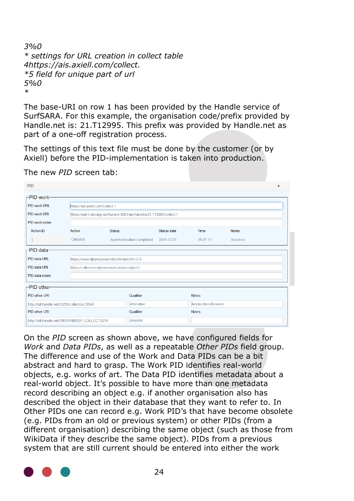*3%0 \* settings for URL creation in collect table 4https://ais.axiell.com/collect. \*5 field for unique part of url 5%0 \**

The base-URI on row 1 has been provided by the Handle service of SurfSARA. For this example, the organisation code/prefix provided by Handle.net is: 21.T12995. This prefix was provided by Handle.net as part of a one-off registration process.

The settings of this text file must be done by the customer (or by Axiell) before the PID-implementation is taken into production.

| PID                                             |                                                |                                                                        |             |                  |                |  |  |  |  |
|-------------------------------------------------|------------------------------------------------|------------------------------------------------------------------------|-------------|------------------|----------------|--|--|--|--|
| -PID work-                                      |                                                |                                                                        |             |                  |                |  |  |  |  |
| <b>PID work URL</b>                             |                                                | https://ais.axiell.com/collect.1                                       |             |                  |                |  |  |  |  |
| PID work URI                                    |                                                | https://epic5.storage.surfsara.nl:8003/api/handles/21.T12995/collect.1 |             |                  |                |  |  |  |  |
| PID work notes                                  |                                                |                                                                        |             |                  |                |  |  |  |  |
| Action ID                                       | Action                                         | <b>Status</b>                                                          | Status date | <b>Time</b>      | <b>Notes</b>   |  |  |  |  |
|                                                 | CREATE                                         | Synchronisation completed                                              | 2019-12-23  | 16:27:17         | <b>Success</b> |  |  |  |  |
| -PID data-                                      |                                                |                                                                        |             |                  |                |  |  |  |  |
| PID data URL                                    | https://www.rijksmuseum.nl/collection/SK-C-5   |                                                                        |             |                  |                |  |  |  |  |
| PID data URI                                    | https://collection.rijksmuseum.nl/doc/object/1 |                                                                        |             |                  |                |  |  |  |  |
| PID data notes                                  |                                                |                                                                        |             |                  |                |  |  |  |  |
| -PID other-                                     |                                                |                                                                        |             |                  |                |  |  |  |  |
| PID other URI                                   |                                                | Qualifier                                                              |             | <b>Notes</b>     |                |  |  |  |  |
| http://hdl.handle.net/11259/collection.38543    |                                                | alternative                                                            |             | Amsterdam Museum |                |  |  |  |  |
| PID other URI                                   |                                                | Qualifier                                                              |             | <b>Notes</b>     |                |  |  |  |  |
| http://hdl.handle.net/10934/RM0001.COLLECT.5216 |                                                | obsolete                                                               |             |                  |                |  |  |  |  |

The new *PID* screen tab:

On the *PID* screen as shown above, we have configured fields for *Work* and *Data PIDs*, as well as a repeatable *Other PIDs* field group. The difference and use of the Work and Data PIDs can be a bit abstract and hard to grasp. The Work PID identifies real-world objects, e.g. works of art. The Data PID identifies metadata about a real-world object. It's possible to have more than one metadata record describing an object e.g. if another organisation also has described the object in their database that they want to refer to. In Other PIDs one can record e.g. Work PID's that have become obsolete (e.g. PIDs from an old or previous system) or other PIDs (from a different organisation) describing the same object (such as those from WikiData if they describe the same object). PIDs from a previous system that are still current should be entered into either the work

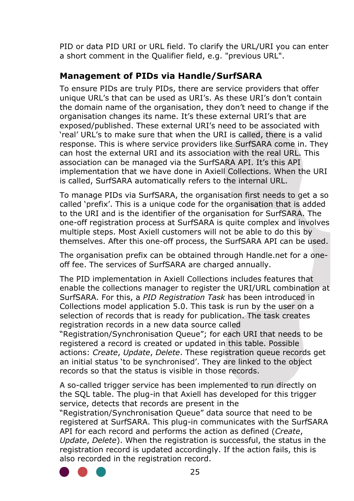PID or data PID URI or URL field. To clarify the URL/URI you can enter a short comment in the Qualifier field, e.g. "previous URL".

#### **Management of PIDs via Handle/SurfSARA**

To ensure PIDs are truly PIDs, there are service providers that offer unique URL's that can be used as URI's. As these URI's don't contain the domain name of the organisation, they don't need to change if the organisation changes its name. It's these external URI's that are exposed/published. These external URI's need to be associated with 'real' URL's to make sure that when the URI is called, there is a valid response. This is where service providers like SurfSARA come in. They can host the external URI and its association with the real URL. This association can be managed via the SurfSARA API. It's this API implementation that we have done in Axiell Collections. When the URI is called, SurfSARA automatically refers to the internal URL.

To manage PIDs via SurfSARA, the organisation first needs to get a so called 'prefix'. This is a unique code for the organisation that is added to the URI and is the identifier of the organisation for SurfSARA. The one-off registration process at SurfSARA is quite complex and involves multiple steps. Most Axiell customers will not be able to do this by themselves. After this one-off process, the SurfSARA API can be used.

The organisation prefix can be obtained through Handle.net for a oneoff fee. The services of SurfSARA are charged annually.

The PID implementation in Axiell Collections includes features that enable the collections manager to register the URI/URL combination at SurfSARA. For this, a *PID Registration Task* has been introduced in Collections model application 5.0. This task is run by the user on a selection of records that is ready for publication. The task creates registration records in a new data source called

"Registration/Synchronisation Queue"; for each URI that needs to be registered a record is created or updated in this table. Possible actions: *Create*, *Update*, *Delete*. These registration queue records get an initial status 'to be synchronised'. They are linked to the object records so that the status is visible in those records.

A so-called trigger service has been implemented to run directly on the SQL table. The plug-in that Axiell has developed for this trigger service, detects that records are present in the

"Registration/Synchronisation Queue" data source that need to be registered at SurfSARA. This plug-in communicates with the SurfSARA API for each record and performs the action as defined (*Create*, *Update*, *Delete*). When the registration is successful, the status in the registration record is updated accordingly. If the action fails, this is also recorded in the registration record.

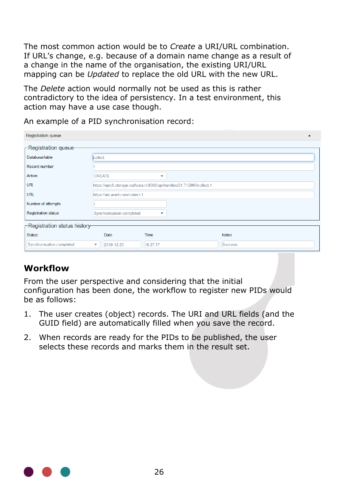The most common action would be to *Create* a URI/URL combination. If URL's change, e.g. because of a domain name change as a result of a change in the name of the organisation, the existing URI/URL mapping can be *Updated* to replace the old URL with the new URL.

The *Delete* action would normally not be used as this is rather contradictory to the idea of persistency. In a test environment, this action may have a use case though.

An example of a PID synchronisation record:

| <b>Registration queue</b>    |                                  |                                                                        |              |  |
|------------------------------|----------------------------------|------------------------------------------------------------------------|--------------|--|
| $\sqcap$ Registration queue- |                                  |                                                                        |              |  |
| Database/table               | collect                          |                                                                        |              |  |
| Record number                |                                  |                                                                        |              |  |
| Action                       | <b>CREATE</b>                    | ▼                                                                      |              |  |
| <b>URI</b>                   |                                  | https://epic5.storage.surfsara.nl:8003/api/handles/21.T12995/collect.1 |              |  |
| <b>URL</b>                   | https://ais.axiell.com/collect.1 |                                                                        |              |  |
| Number of attempts           |                                  |                                                                        |              |  |
| <b>Registration status</b>   | Synchronisation completed        | ▼                                                                      |              |  |
| Registration status history- |                                  |                                                                        |              |  |
| <b>Status</b>                | Date                             | Time                                                                   | <b>Notes</b> |  |
| Synchronisation completed    | 2019-12-23<br>▼                  | 16:27:17                                                               | Success      |  |

### **Workflow**

From the user perspective and considering that the initial configuration has been done, the workflow to register new PIDs would be as follows:

- 1. The user creates (object) records. The URI and URL fields (and the GUID field) are automatically filled when you save the record.
- 2. When records are ready for the PIDs to be published, the user selects these records and marks them in the result set.

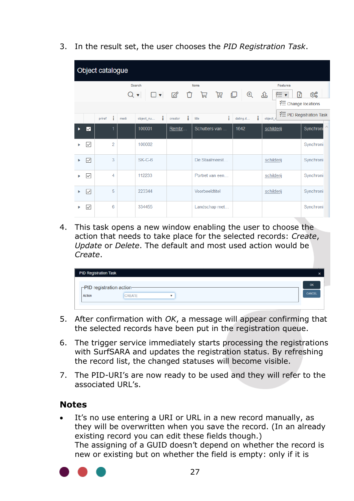3. In the result set, the user chooses the *PID Registration Task*.

|   |                 | Object catalogue |      |                         |              |                 |               |                    |                         |
|---|-----------------|------------------|------|-------------------------|--------------|-----------------|---------------|--------------------|-------------------------|
|   |                 |                  |      | Search                  |              | Items           |               | Features           |                         |
|   |                 |                  | Q    | $\overline{\mathbf{v}}$ |              | 島               | $\oplus$<br>© | ⊱ ≊<br>요<br>प्रि   | කුද                     |
|   |                 |                  |      |                         |              |                 |               | ₹ Change locations |                         |
|   |                 | ÷<br>priref      | medi | ÷<br>object nu          | ÷<br>creator | ÷<br>title      | ÷<br>dating.d | object r           | ₹ PID Registration Task |
| ы | $\checkmark$    |                  |      | 100001                  | Rembr        | Schutters van   | 1642          | schilderij         | Synchroni               |
|   | ▽               | $\overline{a}$   |      | 100002                  |              |                 |               |                    | Synchroni               |
|   | $\triangledown$ | 3                |      | $SK-C-6$                |              | De Staalmeest   |               | schilderij         | Synchroni               |
|   | $\checkmark$    | 4                |      | 112233                  |              | Portret van een |               | schilderij         | Synchroni               |
|   | $\checkmark$    | 5                |      | 223344                  |              | Voorbeeldtitel  |               | schilderij         | Synchroni               |
|   | ▽               | 6                |      | 334455                  |              | Landschap met   |               |                    | Synchroni               |

4. This task opens a new window enabling the user to choose the action that needs to take place for the selected records: *Create*, *Update* or *Delete*. The default and most used action would be *Create*.

|                           | <b>PID Registration Task</b> |   |        |
|---------------------------|------------------------------|---|--------|
| -PID registration action- |                              |   | OK     |
| Action                    | CREATE                       | ٠ | CANCEL |

- 5. After confirmation with *OK*, a message will appear confirming that the selected records have been put in the registration queue.
- 6. The trigger service immediately starts processing the registrations with SurfSARA and updates the registration status. By refreshing the record list, the changed statuses will become visible.
- 7. The PID-URI's are now ready to be used and they will refer to the associated URL's.

#### **Notes**

It's no use entering a URI or URL in a new record manually, as they will be overwritten when you save the record. (In an already existing record you can edit these fields though.) The assigning of a GUID doesn't depend on whether the record is new or existing but on whether the field is empty: only if it is

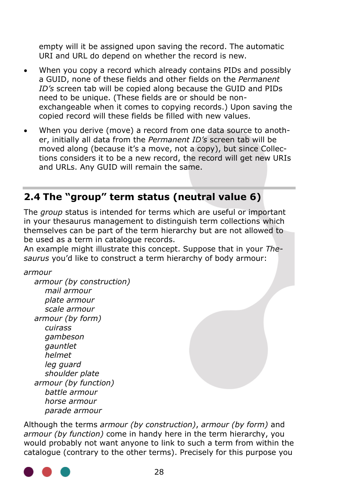empty will it be assigned upon saving the record. The automatic URI and URL do depend on whether the record is new.

- When you copy a record which already contains PIDs and possibly a GUID, none of these fields and other fields on the *Permanent ID's* screen tab will be copied along because the GUID and PIDs need to be unique. (These fields are or should be nonexchangeable when it comes to copying records.) Upon saving the copied record will these fields be filled with new values.
- When you derive (move) a record from one data source to another, initially all data from the *Permanent ID's* screen tab will be moved along (because it's a move, not a copy), but since Collections considers it to be a new record, the record will get new URIs and URLs. Any GUID will remain the same.

# <span id="page-31-0"></span>**2.4 The "group" term status (neutral value 6)**

The *group* status is intended for terms which are useful or important in your thesaurus management to distinguish term collections which themselves can be part of the term hierarchy but are not allowed to be used as a term in catalogue records.

An example might illustrate this concept. Suppose that in your *Thesaurus* you'd like to construct a term hierarchy of body armour:

*armour*

 *armour (by construction) mail armour plate armour scale armour armour (by form) cuirass gambeson gauntlet helmet leg guard shoulder plate armour (by function) battle armour horse armour parade armour*

Although the terms *armour (by construction)*, *armour (by form)* and *armour (by function)* come in handy here in the term hierarchy, you would probably not want anyone to link to such a term from within the catalogue (contrary to the other terms). Precisely for this purpose you

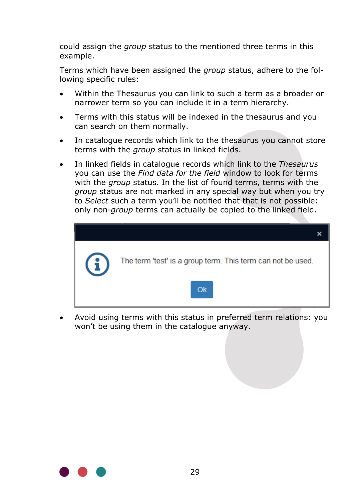could assign the *group* status to the mentioned three terms in this example.

Terms which have been assigned the *group* status, adhere to the following specific rules:

- Within the Thesaurus you can link to such a term as a broader or narrower term so you can include it in a term hierarchy.
- Terms with this status will be indexed in the thesaurus and you can search on them normally.
- In catalogue records which link to the thesaurus you cannot store terms with the *group* status in linked fields.
- In linked fields in catalogue records which link to the *Thesaurus* you can use the *Find data for the field* window to look for terms with the *group* status. In the list of found terms, terms with the *group* status are not marked in any special way but when you try to *Select* such a term you'll be notified that that is not possible: only non-*group* terms can actually be copied to the linked field.



• Avoid using terms with this status in preferred term relations: you won't be using them in the catalogue anyway.

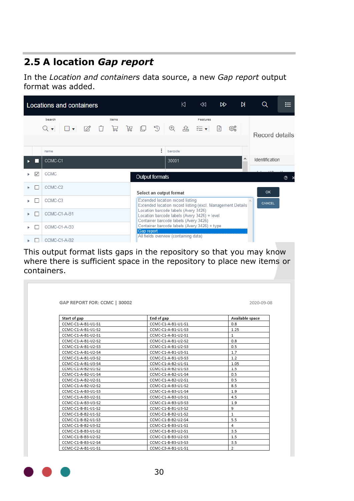# <span id="page-33-0"></span>**2.5 A location** *Gap report*

In the *Location and containers* data source, a new *Gap report* output format was added.

|   |   |                      | <b>Locations and containers</b> |  |                    |                   |                                       |          | К    | $\mathbb{R}^2$                                                                        | R)   |      | N | Q                  | ⋿ |
|---|---|----------------------|---------------------------------|--|--------------------|-------------------|---------------------------------------|----------|------|---------------------------------------------------------------------------------------|------|------|---|--------------------|---|
|   |   | Search<br>$Q_{\tau}$ | $\mathbf{v}$                    |  | Items<br>で ロ ヨ ヨ ロ |                   |                                       | $\oplus$ | - යි | Features<br>狂い                                                                        | प्रि | කුදු |   | Record details     |   |
|   |   | name                 |                                 |  |                    |                   | ፡                                     | barcode  |      |                                                                                       |      |      |   |                    |   |
|   |   | CCMC-C1              |                                 |  |                    |                   |                                       | 30001    |      |                                                                                       |      |      | ۸ | Identification     |   |
|   | ▽ | CCMC                 |                                 |  |                    |                   | Output formats                        |          |      |                                                                                       |      |      |   |                    | ℗ |
| ь |   | CCMC-C2              |                                 |  |                    |                   | Select an output format               |          |      |                                                                                       |      |      |   | OK                 |   |
|   |   | CCMC-C3              |                                 |  |                    |                   | Extended location record listing      |          |      | Extended location record listing (excl. Management Details)                           |      |      |   | $\wedge$<br>CANCEL |   |
|   |   | CCMC-C1-A-B1         |                                 |  |                    |                   | Location barcode labels (Avery 3426)  |          |      | Location barcode labels (Avery 3426) + level<br>Container barcode labels (Avery 3426) |      |      |   |                    |   |
|   |   | CCMC-C1-A-B3         |                                 |  |                    | <b>Gap report</b> |                                       |          |      | Container barcode labels (Avery 3426) + type                                          |      |      |   |                    |   |
|   |   | CCMC-C1-A-B2         |                                 |  |                    |                   | All fields overview (containing data) |          |      |                                                                                       |      |      |   |                    |   |

This output format lists gaps in the repository so that you may know where there is sufficient space in the repository to place new items or containers.

|                    |                    | 2020-09-08      |
|--------------------|--------------------|-----------------|
|                    |                    |                 |
| Start of gap       | End of gap         | Available space |
| CCMC-C1-A-B1-U1-S1 | CCMC-C1-A-B1-U1-S1 | 0.8             |
| CCMC-C1-A-B1-U1-S2 | CCMC-C1-A-B1-U1-S3 | 1.25            |
| CCMC-C1-A-B1-U2-S1 | CCMC-C1-A-B1-U2-S1 | $\mathbf{1}$    |
| CCMC-C1-A-B1-U2-S2 | CCMC-C1-A-B1-U2-S2 | 0.8             |
| CCMC-C1-A-B1-U2-S3 | CCMC-C1-A-B1-U2-S3 | 0.5             |
| CCMC-C1-A-B1-U2-S4 | CCMC-C1-A-B1-U3-S1 | 1.7             |
| CCMC-C1-A-B1-U3-S2 | CCMC-C1-A-B1-U3-S3 | 1.2             |
| CCMC-C1-A-B1-U3-S4 | CCMC-C1-A-B2-U1-S1 | 1.05            |
| CCMC-C1-A-B2-U1-S2 | CCMC-C1-A-B2-U1-S3 | 1.5             |
| CCMC-C1-A-B2-U1-S4 | CCMC-C1-A-B2-U1-S4 | 0.5             |
| CCMC-C1-A-B2-U2-S1 | CCMC-C1-A-B2-U2-S1 | 0.5             |
| CCMC-C1-A-B2-U2-S2 | CCMC-C1-A-B3-U1-S2 | 8.5             |
| CCMC-C1-A-B3-U1-S3 | CCMC-C1-A-B3-U1-S4 | 1.9             |
| CCMC-C1-A-B3-U2-S1 | CCMC-C1-A-B3-U3-S1 | 4.5             |
| CCMC-C1-A-B3-U3-S2 | CCMC-C1-A-B3-U3-S3 | 1.9             |
| CCMC-C1-B-B1-U1-S2 | CCMC-C1-B-B1-U3-S2 | 9               |
| CCMC-C1-B-B2-U1-S2 | CCMC-C1-B-B2-U1-S2 | $\mathbf{1}$    |
| CCMC-C1-B-B2-U1-S3 | CCMC-C1-B-B2-U2-S4 | 5.5             |
| CCMC-C1-B-B2-U3-S2 | CCMC-C1-B-B3-U1-S1 | $\overline{4}$  |
| CCMC-C1-B-B3-U1-S2 | CCMC-C1-B-B3-U2-S1 | 3.5             |
| CCMC-C1-B-B3-U2-S2 | CCMC-C1-B-B3-U2-S3 | 1.5             |
| CCMC-C1-B-B3-U2-S4 | CCMC-C1-B-B3-U3-S3 | 3.5             |
| CCMC-C2-A-B1-U1-S1 | CCMC-C3-A-B1-U1-S1 | $\overline{2}$  |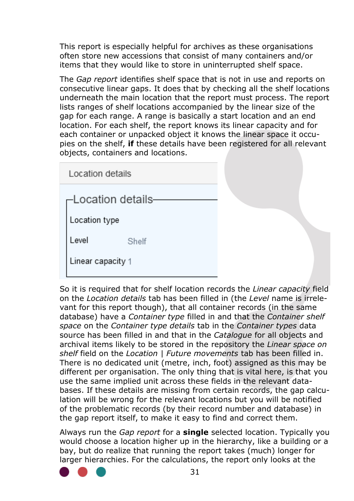This report is especially helpful for archives as these organisations often store new accessions that consist of many containers and/or items that they would like to store in uninterrupted shelf space.

The *Gap report* identifies shelf space that is not in use and reports on consecutive linear gaps. It does that by checking all the shelf locations underneath the main location that the report must process. The report lists ranges of shelf locations accompanied by the linear size of the gap for each range. A range is basically a start location and an end location. For each shelf, the report knows its linear capacity and for each container or unpacked object it knows the linear space it occupies on the shelf, **if** these details have been registered for all relevant objects, containers and locations.

| Location details   |       |
|--------------------|-------|
| -Location details- |       |
| Location type      |       |
| Level              | Shelf |
| Linear capacity 1  |       |
|                    |       |

So it is required that for shelf location records the *Linear capacity* field on the *Location details* tab has been filled in (the *Level* name is irrelevant for this report though), that all container records (in the same database) have a *Container type* filled in and that the *Container shelf space* on the *Container type details* tab in the *Container types* data source has been filled in and that in the *Catalogue* for all objects and archival items likely to be stored in the repository the *Linear space on shelf* field on the *Location | Future movements* tab has been filled in. There is no dedicated unit (metre, inch, foot) assigned as this may be different per organisation. The only thing that is vital here, is that you use the same implied unit across these fields in the relevant databases. If these details are missing from certain records, the gap calculation will be wrong for the relevant locations but you will be notified of the problematic records (by their record number and database) in the gap report itself, to make it easy to find and correct them.

Always run the *Gap report* for a **single** selected location. Typically you would choose a location higher up in the hierarchy, like a building or a bay, but do realize that running the report takes (much) longer for larger hierarchies. For the calculations, the report only looks at the